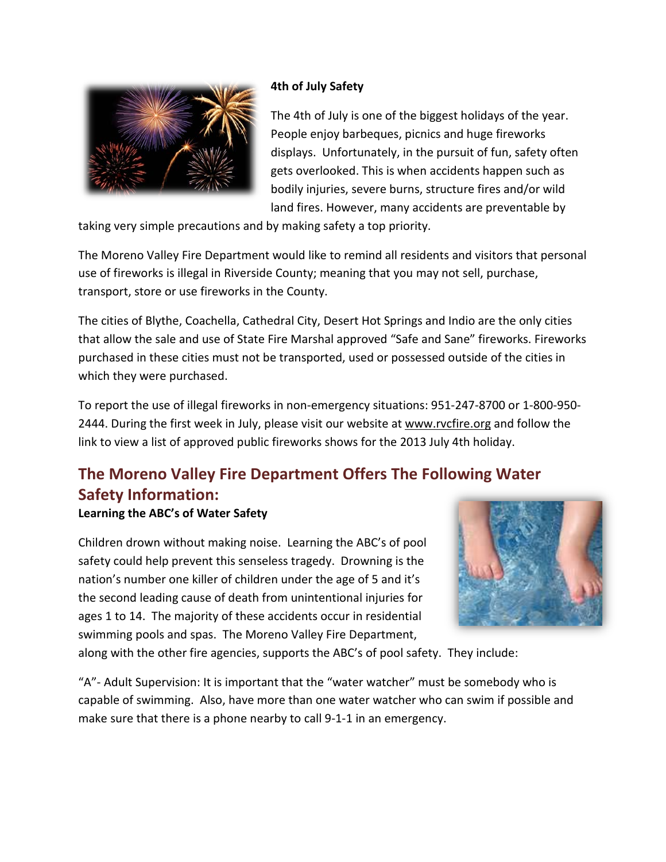

### **4th of July Safety**

The 4th of July is one of the biggest holidays of the year. People enjoy barbeques, picnics and huge fireworks displays. Unfortunately, in the pursuit of fun, safety often gets overlooked. This is when accidents happen such as bodily injuries, severe burns, structure fires and/or wild land fires. However, many accidents are preventable by

taking very simple precautions and by making safety a top priority.

The Moreno Valley Fire Department would like to remind all residents and visitors that personal use of fireworks is illegal in Riverside County; meaning that you may not sell, purchase, transport, store or use fireworks in the County.

The cities of Blythe, Coachella, Cathedral City, Desert Hot Springs and Indio are the only cities that allow the sale and use of State Fire Marshal approved "Safe and Sane" fireworks. Fireworks purchased in these cities must not be transported, used or possessed outside of the cities in which they were purchased.

To report the use of illegal fireworks in non-emergency situations: 951-247-8700 or 1-800-950 2444. During the first week in July, please visit our website at [www.rvcfire.org](http://www.rvcfire.org/) and follow the link to view a list of approved public fireworks shows for the 2013 July 4th holiday.

# **The Moreno Valley Fire Department Offers The Following Water Safety Information:**

### **Learning the ABC's of Water Safety**

Children drown without making noise. Learning the ABC's of pool safety could help prevent this senseless tragedy. Drowning is the nation's number one killer of children under the age of 5 and it's the second leading cause of death from unintentional injuries for ages 1 to 14. The majority of these accidents occur in residential swimming pools and spas. The Moreno Valley Fire Department,



along with the other fire agencies, supports the ABC's of pool safety. They include:

"A"- Adult Supervision: It is important that the "water watcher" must be somebody who is capable of swimming. Also, have more than one water watcher who can swim if possible and make sure that there is a phone nearby to call 9-1-1 in an emergency.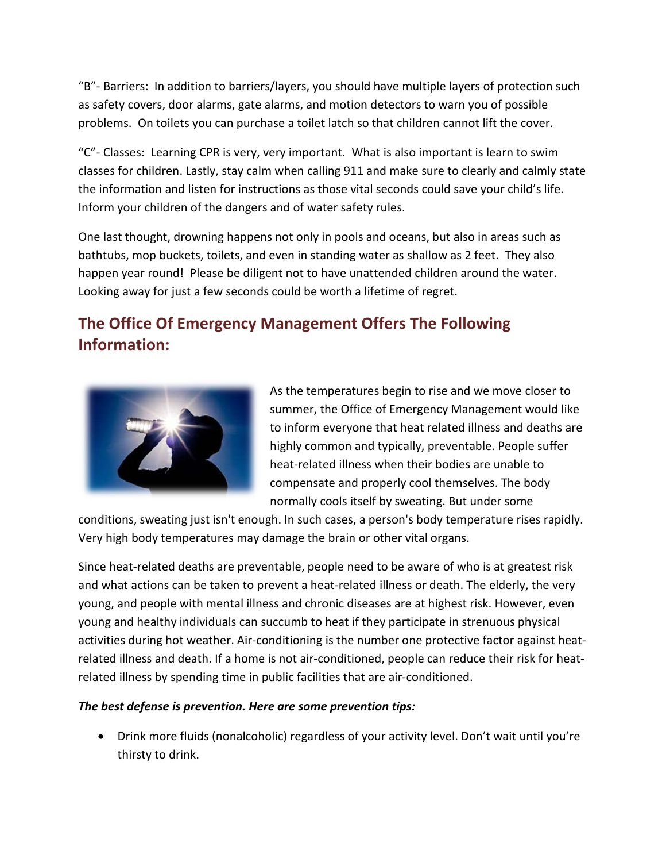"B"- Barriers: In addition to barriers/layers, you should have multiple layers of protection such as safety covers, door alarms, gate alarms, and motion detectors to warn you of possible problems. On toilets you can purchase a toilet latch so that children cannot lift the cover.

"C"- Classes: Learning CPR is very, very important. What is also important is learn to swim classes for children. Lastly, stay calm when calling 911 and make sure to clearly and calmly state the information and listen for instructions as those vital seconds could save your child's life. Inform your children of the dangers and of water safety rules.

One last thought, drowning happens not only in pools and oceans, but also in areas such as bathtubs, mop buckets, toilets, and even in standing water as shallow as 2 feet. They also happen year round! Please be diligent not to have unattended children around the water. Looking away for just a few seconds could be worth a lifetime of regret.

## **The Office Of Emergency Management Offers The Following Information:**



As the temperatures begin to rise and we move closer to summer, the Office of Emergency Management would like to inform everyone that heat related illness and deaths are highly common and typically, preventable. People suffer heat-related illness when their bodies are unable to compensate and properly cool themselves. The body normally cools itself by sweating. But under some

conditions, sweating just isn't enough. In such cases, a person's body temperature rises rapidly. Very high body temperatures may damage the brain or other vital organs.

Since heat-related deaths are preventable, people need to be aware of who is at greatest risk and what actions can be taken to prevent a heat-related illness or death. The elderly, the very young, and people with mental illness and chronic diseases are at highest risk. However, even young and healthy individuals can succumb to heat if they participate in strenuous physical activities during hot weather. Air-conditioning is the number one protective factor against heatrelated illness and death. If a home is not air-conditioned, people can reduce their risk for heatrelated illness by spending time in public facilities that are air-conditioned.

### *The best defense is prevention. Here are some prevention tips:*

• Drink more fluids (nonalcoholic) regardless of your activity level. Don't wait until you're thirsty to drink.